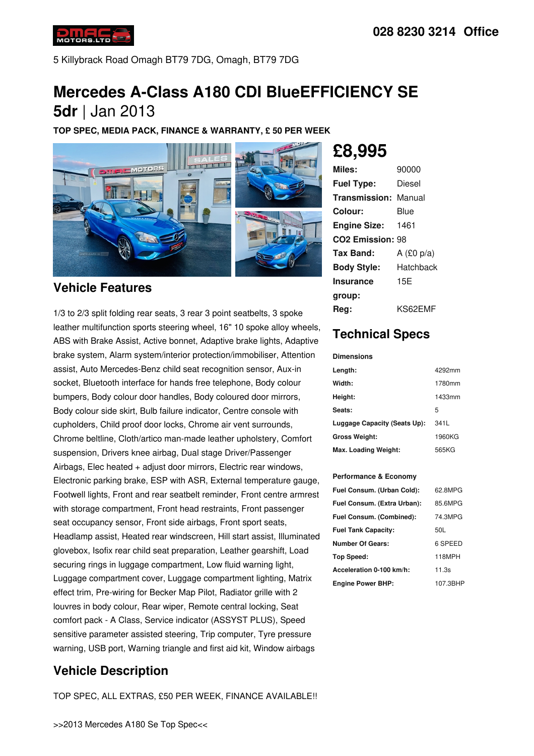

5 Killybrack Road Omagh BT79 7DG, Omagh, BT79 7DG

# **Mercedes A-Class A180 CDI BlueEFFICIENCY SE 5dr** |Jan 2013

**TOP SPEC, MEDIA PACK, FINANCE & WARRANTY, £ 50 PER WEEK**



### **Vehicle Features**

1/3 to 2/3 split folding rear seats, 3 rear 3 point seatbelts, 3 spoke leather multifunction sports steering wheel, 16" 10 spoke alloy wheels, ABS with Brake Assist, Active bonnet, Adaptive brake lights, Adaptive brake system, Alarm system/interior protection/immobiliser, Attention assist, Auto Mercedes-Benz child seat recognition sensor, Aux-in socket, Bluetooth interface for hands free telephone, Body colour bumpers, Body colour door handles, Body coloured door mirrors, Body colour side skirt, Bulb failure indicator, Centre console with cupholders, Child proof door locks, Chrome air vent surrounds, Chrome beltline, Cloth/artico man-made leather upholstery, Comfort suspension, Drivers knee airbag, Dual stage Driver/Passenger Airbags, Elec heated + adjust door mirrors, Electric rear windows, Electronic parking brake, ESP with ASR, External temperature gauge, Footwell lights, Front and rear seatbelt reminder, Front centre armrest with storage compartment, Front head restraints, Front passenger seat occupancy sensor, Front side airbags, Front sport seats, Headlamp assist, Heated rear windscreen, Hill start assist, Illuminated glovebox, Isofix rear child seat preparation, Leather gearshift, Load securing rings in luggage compartment, Low fluid warning light, Luggage compartment cover, Luggage compartment lighting, Matrix effect trim, Pre-wiring for Becker Map Pilot, Radiator grille with 2 louvres in body colour, Rear wiper, Remote central locking, Seat comfort pack -A Class, Service indicator (ASSYST PLUS), Speed sensitive parameter assisted steering, Trip computer, Tyre pressure warning, USB port, Warning triangle and first aid kit, Window airbags

## **Vehicle Description**

TOP SPEC, ALL EXTRAS, £50 PER WEEK, FINANCE AVAILABLE!!

# **£8,995**

| Miles:                       | 90000        |
|------------------------------|--------------|
| <b>Fuel Type:</b>            | Diesel       |
| <b>Transmission: Manual</b>  |              |
| Colour:                      | Blue         |
| <b>Engine Size:</b>          | 1461         |
| CO <sub>2</sub> Emission: 98 |              |
| Tax Band:                    | A $(E0 p/a)$ |
| <b>Body Style:</b>           | Hatchback    |
| <b>Insurance</b>             | 15E          |
| group:                       |              |
| Rea:                         | KS62EMF      |

## **Technical Specs**

#### **Dimensions**

| Length:                      | 4292mm |
|------------------------------|--------|
| Width:                       | 1780mm |
| Height:                      | 1433mm |
| Seats:                       | 5      |
| Luggage Capacity (Seats Up): | 341L   |
| Gross Weight:                | 1960KG |
| Max. Loading Weight:         | 565KG  |

### **Performance & Economy**

| Fuel Consum. (Urban Cold):  | 62.8MPG  |
|-----------------------------|----------|
| Fuel Consum. (Extra Urban): | 85.6MPG  |
| Fuel Consum. (Combined):    | 74.3MPG  |
| <b>Fuel Tank Capacity:</b>  | 50L      |
| <b>Number Of Gears:</b>     | 6 SPEED  |
| Top Speed:                  | 118MPH   |
| Acceleration 0-100 km/h:    | 11.3s    |
| <b>Engine Power BHP:</b>    | 107.3BHP |